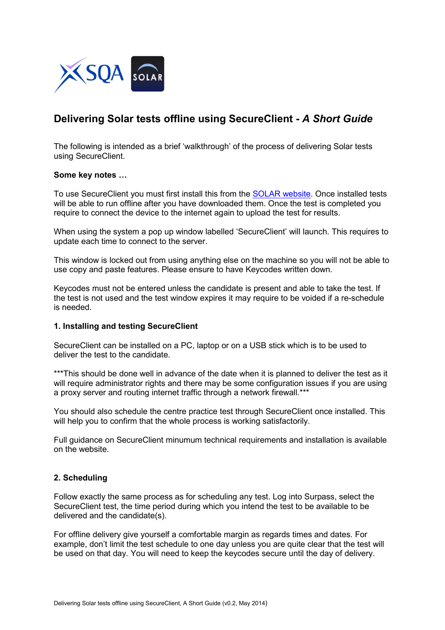

# **Delivering Solar tests offline using SecureClient -** *A Short Guide*

The following is intended as a brief 'walkthrough' of the process of delivering Solar tests using SecureClient.

#### **Some key notes …**

To use SecureClient you must first install this from the [SOLAR website.](https://www.sqasolar.org.uk/mini/33149.1598.1604.html) Once installed tests will be able to run offline after you have downloaded them. Once the test is completed you require to connect the device to the internet again to upload the test for results.

When using the system a pop up window labelled 'SecureClient' will launch. This requires to update each time to connect to the server.

This window is locked out from using anything else on the machine so you will not be able to use copy and paste features. Please ensure to have Keycodes written down.

Keycodes must not be entered unless the candidate is present and able to take the test. If the test is not used and the test window expires it may require to be voided if a re-schedule is needed.

#### **1. Installing and testing SecureClient**

SecureClient can be installed on a PC, laptop or on a USB stick which is to be used to deliver the test to the candidate.

\*\*\*This should be done well in advance of the date when it is planned to deliver the test as it will require administrator rights and there may be some configuration issues if you are using a proxy server and routing internet traffic through a network firewall.\*\*\*

You should also schedule the centre practice test through SecureClient once installed. This will help you to confirm that the whole process is working satisfactorily.

Full guidance on SecureClient minumum technical requirements and installation is available on the website.

## **2. Scheduling**

Follow exactly the same process as for scheduling any test. Log into Surpass, select the SecureClient test, the time period during which you intend the test to be available to be delivered and the candidate(s).

For offline delivery give yourself a comfortable margin as regards times and dates. For example, don't limit the test schedule to one day unless you are quite clear that the test will be used on that day. You will need to keep the keycodes secure until the day of delivery.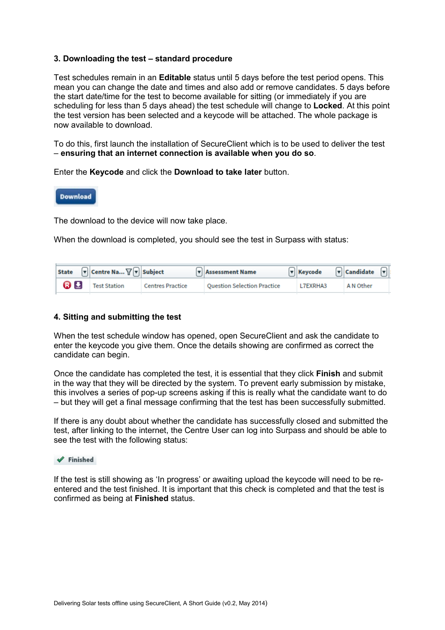#### **3. Downloading the test – standard procedure**

Test schedules remain in an **Editable** status until 5 days before the test period opens. This mean you can change the date and times and also add or remove candidates. 5 days before the start date/time for the test to become available for sitting (or immediately if you are scheduling for less than 5 days ahead) the test schedule will change to **Locked**. At this point the test version has been selected and a keycode will be attached. The whole package is now available to download.

To do this, first launch the installation of SecureClient which is to be used to deliver the test – **ensuring that an internet connection is available when you do so**.

Enter the **Keycode** and click the **Download to take later** button.



The download to the device will now take place.

When the download is completed, you should see the test in Surpass with status:

| State $\boxed{\mathbf{v}}$ Centre Na $\boxed{\mathbf{v}}$ Subject |                         | Resessment Name                    | $\boxed{\mathbf{v}}$ Keycode $\boxed{\mathbf{v}}$ Candidate $\boxed{\mathbf{v}}$ : |           |  |
|-------------------------------------------------------------------|-------------------------|------------------------------------|------------------------------------------------------------------------------------|-----------|--|
| <b>a E</b> Test Station                                           | <b>Centres Practice</b> | <b>Ouestion Selection Practice</b> | L7EXRHA3                                                                           | A N Other |  |

#### **4. Sitting and submitting the test**

When the test schedule window has opened, open SecureClient and ask the candidate to enter the keycode you give them. Once the details showing are confirmed as correct the candidate can begin.

Once the candidate has completed the test, it is essential that they click **Finish** and submit in the way that they will be directed by the system. To prevent early submission by mistake, this involves a series of pop-up screens asking if this is really what the candidate want to do – but they will get a final message confirming that the test has been successfully submitted.

If there is any doubt about whether the candidate has successfully closed and submitted the test, after linking to the internet, the Centre User can log into Surpass and should be able to see the test with the following status:



If the test is still showing as 'In progress' or awaiting upload the keycode will need to be reentered and the test finished. It is important that this check is completed and that the test is confirmed as being at **Finished** status.